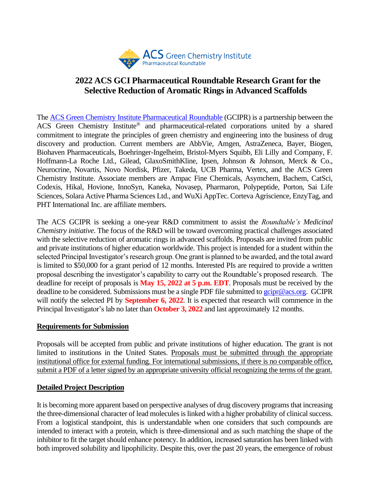

# **2022 ACS GCI Pharmaceutical Roundtable Research Grant for the Selective Reduction of Aromatic Rings in Advanced Scaffolds**

The [ACS Green Chemistry Institute Pharmaceutical Roundtable](https://www.acsgcipr.org/) (GCIPR) is a partnership between the ACS Green Chemistry Institute® and pharmaceutical-related corporations united by a shared commitment to integrate the principles of green chemistry and engineering into the business of drug discovery and production. Current members are AbbVie, Amgen, AstraZeneca, Bayer, Biogen, Biohaven Pharmaceuticals, Boehringer-Ingelheim, Bristol-Myers Squibb, Eli Lilly and Company, F. Hoffmann-La Roche Ltd., Gilead, GlaxoSmithKline, Ipsen, Johnson & Johnson, Merck & Co., Neurocrine, Novartis, Novo Nordisk, Pfizer, Takeda, UCB Pharma, Vertex, and the ACS Green Chemistry Institute. Associate members are Ampac Fine Chemicals, Asymchem, Bachem, CatSci, Codexis, Hikal, Hovione, InnoSyn, Kaneka, Novasep, Pharmaron, Polypeptide, Porton, Sai Life Sciences, Solara Active Pharma Sciences Ltd., and WuXi AppTec. Corteva Agriscience, EnzyTag, and PHT International Inc. are affiliate members.

The ACS GCIPR is seeking a one-year R&D commitment to assist the *Roundtable's Medicinal Chemistry initiative*. The focus of the R&D will be toward overcoming practical challenges associated with the selective reduction of aromatic rings in advanced scaffolds. Proposals are invited from public and private institutions of higher education worldwide. This project is intended for a student within the selected Principal Investigator's research group. One grant is planned to be awarded, and the total award is limited to \$50,000 for a grant period of 12 months. Interested PIs are required to provide a written proposal describing the investigator's capability to carry out the Roundtable's proposed research. The deadline for receipt of proposals is **May 15, 2022 at 5 p.m. EDT**. Proposals must be received by the deadline to be considered. Submissions must be a single PDF file submitted to [gcipr@acs.org.](mailto:gcipr@acs.org) GCIPR will notify the selected PI by **September 6, 2022**. It is expected that research will commence in the Principal Investigator's lab no later than **October 3, 2022** and last approximately 12 months.

#### **Requirements for Submission**

Proposals will be accepted from public and private institutions of higher education. The grant is not limited to institutions in the United States. Proposals must be submitted through the appropriate institutional office for external funding. For international submissions, if there is no comparable office, submit a PDF of a letter signed by an appropriate university official recognizing the terms of the grant.

#### **Detailed Project Description**

It is becoming more apparent based on perspective analyses of drug discovery programs that increasing the three-dimensional character of lead molecules is linked with a higher probability of clinical success. From a logistical standpoint, this is understandable when one considers that such compounds are intended to interact with a protein, which is three-dimensional and as such matching the shape of the inhibitor to fit the target should enhance potency. In addition, increased saturation has been linked with both improved solubility and lipophilicity. Despite this, over the past 20 years, the emergence of robust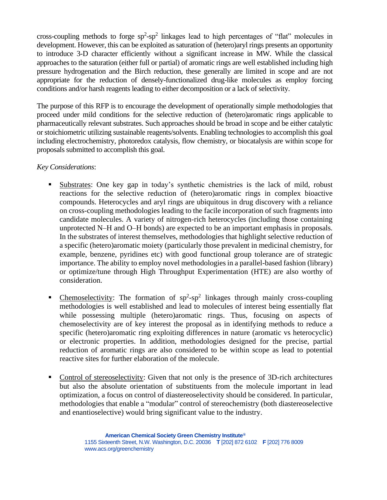cross-coupling methods to forge  $sp^2$ -sp<sup>2</sup> linkages lead to high percentages of "flat" molecules in development. However, this can be exploited as saturation of (hetero)aryl rings presents an opportunity to introduce 3-D character efficiently without a significant increase in MW. While the classical approaches to the saturation (either full or partial) of aromatic rings are well established including high pressure hydrogenation and the Birch reduction, these generally are limited in scope and are not appropriate for the reduction of densely-functionalized drug-like molecules as employ forcing conditions and/or harsh reagents leading to either decomposition or a lack of selectivity.

The purpose of this RFP is to encourage the development of operationally simple methodologies that proceed under mild conditions for the selective reduction of (hetero)aromatic rings applicable to pharmaceutically relevant substrates. Such approaches should be broad in scope and be either catalytic or stoichiometric utilizing sustainable reagents/solvents. Enabling technologies to accomplish this goal including electrochemistry, photoredox catalysis, flow chemistry, or biocatalysis are within scope for proposals submitted to accomplish this goal.

### *Key Considerations*:

- Substrates: One key gap in today's synthetic chemistries is the lack of mild, robust reactions for the selective reduction of (hetero)aromatic rings in complex bioactive compounds. Heterocycles and aryl rings are ubiquitous in drug discovery with a reliance on cross-coupling methodologies leading to the facile incorporation of such fragments into candidate molecules. A variety of nitrogen-rich heterocycles (including those containing unprotected N–H and O–H bonds) are expected to be an important emphasis in proposals. In the substrates of interest themselves, methodologies that highlight selective reduction of a specific (hetero)aromatic moiety (particularly those prevalent in medicinal chemistry, for example, benzene, pyridines etc) with good functional group tolerance are of strategic importance. The ability to employ novel methodologies in a parallel-based fashion (library) or optimize/tune through High Throughput Experimentation (HTE) are also worthy of consideration.
- **•** Chemoselectivity: The formation of  $sp^2$ - $sp^2$  linkages through mainly cross-coupling methodologies is well established and lead to molecules of interest being essentially flat while possessing multiple (hetero)aromatic rings. Thus, focusing on aspects of chemoselectivity are of key interest the proposal as in identifying methods to reduce a specific (hetero)aromatic ring exploiting differences in nature (aromatic vs heterocyclic) or electronic properties. In addition, methodologies designed for the precise, partial reduction of aromatic rings are also considered to be within scope as lead to potential reactive sites for further elaboration of the molecule.
- Control of stereoselectivity: Given that not only is the presence of 3D-rich architectures but also the absolute orientation of substituents from the molecule important in lead optimization, a focus on control of diastereoselectivity should be considered. In particular, methodologies that enable a "modular" control of stereochemistry (both diastereoselective and enantioselective) would bring significant value to the industry.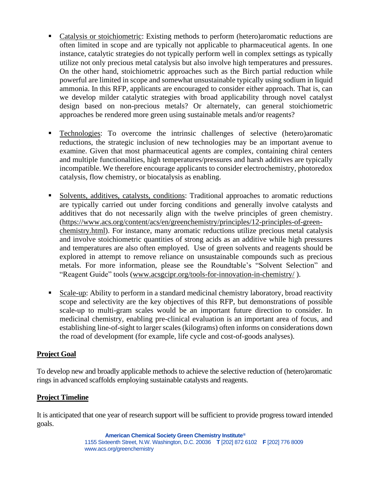- Catalysis or stoichiometric: Existing methods to perform (hetero)aromatic reductions are often limited in scope and are typically not applicable to pharmaceutical agents. In one instance, catalytic strategies do not typically perform well in complex settings as typically utilize not only precious metal catalysis but also involve high temperatures and pressures. On the other hand, stoichiometric approaches such as the Birch partial reduction while powerful are limited in scope and somewhat unsustainable typically using sodium in liquid ammonia. In this RFP, applicants are encouraged to consider either approach. That is, can we develop milder catalytic strategies with broad applicability through novel catalyst design based on non-precious metals? Or alternately, can general stoichiometric approaches be rendered more green using sustainable metals and/or reagents?
- Technologies: To overcome the intrinsic challenges of selective (hetero)aromatic reductions, the strategic inclusion of new technologies may be an important avenue to examine. Given that most pharmaceutical agents are complex, containing chiral centers and multiple functionalities, high temperatures/pressures and harsh additives are typically incompatible. We therefore encourage applicants to consider electrochemistry, photoredox catalysis, flow chemistry, or biocatalysis as enabling.
- Solvents, additives, catalysts, conditions: Traditional approaches to aromatic reductions are typically carried out under forcing conditions and generally involve catalysts and additives that do not necessarily align with the twelve principles of green chemistry. [\(https://www.acs.org/content/acs/en/greenchemistry/principles/12-principles-of-green](https://www.acs.org/content/acs/en/greenchemistry/principles/12-principles-of-green-chemistry.html)[chemistry.html\)](https://www.acs.org/content/acs/en/greenchemistry/principles/12-principles-of-green-chemistry.html). For instance, many aromatic reductions utilize precious metal catalysis and involve stoichiometric quantities of strong acids as an additive while high pressures and temperatures are also often employed. Use of green solvents and reagents should be explored in attempt to remove reliance on unsustainable compounds such as precious metals. For more information, please see the Roundtable's "Solvent Selection" and "Reagent Guide" tools [\(www.acsgcipr.org/tools-for-innovation-in-chemistry/](http://www.acsgcipr.org/tools-for-innovation-in-chemistry/) ).
- Scale-up: Ability to perform in a standard medicinal chemistry laboratory, broad reactivity scope and selectivity are the key objectives of this RFP, but demonstrations of possible scale-up to multi-gram scales would be an important future direction to consider. In medicinal chemistry, enabling pre-clinical evaluation is an important area of focus, and establishing line-of-sight to larger scales (kilograms) often informs on considerations down the road of development (for example, life cycle and cost-of-goods analyses).

# **Project Goal**

To develop new and broadly applicable methods to achieve the selective reduction of (hetero)aromatic rings in advanced scaffolds employing sustainable catalysts and reagents.

#### **Project Timeline**

It is anticipated that one year of research support will be sufficient to provide progress toward intended goals.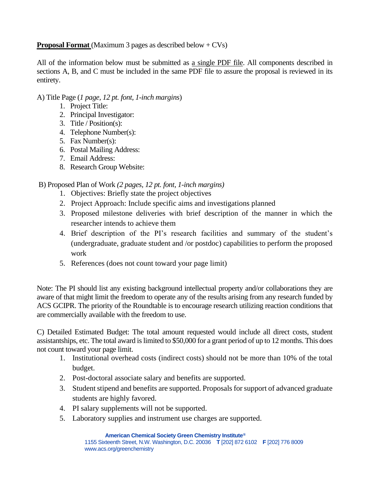# **Proposal Format** (Maximum 3 pages as described below + CVs)

All of the information below must be submitted as a single PDF file. All components described in sections A, B, and C must be included in the same PDF file to assure the proposal is reviewed in its entirety.

### A) Title Page (*1 page, 12 pt. font, 1-inch margins*)

- 1. Project Title:
- 2. Principal Investigator:
- 3. Title / Position(s):
- 4. Telephone Number(s):
- 5. Fax Number(s):
- 6. Postal Mailing Address:
- 7. Email Address:
- 8. Research Group Website:

# B) Proposed Plan of Work *(2 pages, 12 pt. font, 1-inch margins)*

- 1. Objectives: Briefly state the project objectives
- 2. Project Approach: Include specific aims and investigations planned
- 3. Proposed milestone deliveries with brief description of the manner in which the researcher intends to achieve them
- 4. Brief description of the PI's research facilities and summary of the student's (undergraduate, graduate student and /or postdoc) capabilities to perform the proposed work
- 5. References (does not count toward your page limit)

Note: The PI should list any existing background intellectual property and/or collaborations they are aware of that might limit the freedom to operate any of the results arising from any research funded by ACS GCIPR. The priority of the Roundtable is to encourage research utilizing reaction conditions that are commercially available with the freedom to use.

C) Detailed Estimated Budget: The total amount requested would include all direct costs, student assistantships, etc. The total award is limited to \$50,000 for a grant period of up to 12 months. This does not count toward your page limit.

- 1. Institutional overhead costs (indirect costs) should not be more than 10% of the total budget.
- 2. Post-doctoral associate salary and benefits are supported.
- 3. Student stipend and benefits are supported. Proposals for support of advanced graduate students are highly favored.
- 4. PI salary supplements will not be supported.
- 5. Laboratory supplies and instrument use charges are supported.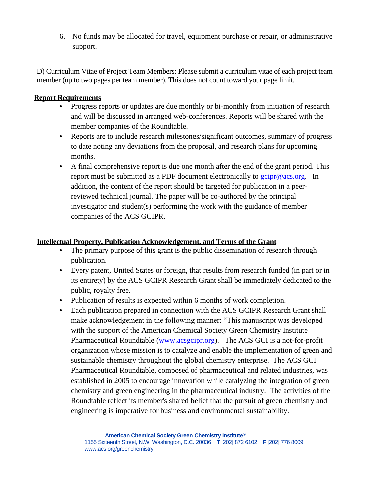6. No funds may be allocated for travel, equipment purchase or repair, or administrative support.

D) Curriculum Vitae of Project Team Members: Please submit a curriculum vitae of each project team member (up to two pages per team member). This does not count toward your page limit.

### **Report Requirements**

- Progress reports or updates are due monthly or bi-monthly from initiation of research and will be discussed in arranged web-conferences. Reports will be shared with the member companies of the Roundtable.
- Reports are to include research milestones/significant outcomes, summary of progress to date noting any deviations from the proposal, and research plans for upcoming months.
- A final comprehensive report is due one month after the end of the grant period. This report must be submitted as a PDF document electronically to  $g$ cipr@acs.org. In addition, the content of the report should be targeted for publication in a peerreviewed technical journal. The paper will be co-authored by the principal investigator and student(s) performing the work with the guidance of member companies of the ACS GCIPR.

# **Intellectual Property, Publication Acknowledgement, and Terms of the Grant**

- The primary purpose of this grant is the public dissemination of research through publication.
- Every patent, United States or foreign, that results from research funded (in part or in its entirety) by the ACS GCIPR Research Grant shall be immediately dedicated to the public, royalty free.
- Publication of results is expected within 6 months of work completion.
- Each publication prepared in connection with the ACS GCIPR Research Grant shall make acknowledgement in the following manner: "This manuscript was developed with the support of the American Chemical Society Green Chemistry Institute Pharmaceutical Roundtable [\(www.acsgcipr.org\)](http://www.acsgcipr.org/). The ACS GCI is a not-for-profit organization whose mission is to catalyze and enable the implementation of green and sustainable chemistry throughout the global chemistry enterprise. The ACS GCI Pharmaceutical Roundtable, composed of pharmaceutical and related industries, was established in 2005 to encourage innovation while catalyzing the integration of green chemistry and green engineering in the pharmaceutical industry. The activities of the Roundtable reflect its member's shared belief that the pursuit of green chemistry and engineering is imperative for business and environmental sustainability.